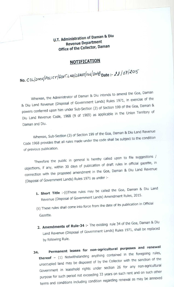U.T. Administration **of Daman & Diu Revenue Department Office of the Collector, Daman** 

## **NOTIFICATION**

No. *0/ ,MaIPOL I C YI Gov%L YolL6AsE112 6'<sup>200</sup>* **Date:-**

Whereas, the Administrator of Daman & Diu intends to amend the Goa, Daman<br>Whereas, the Administrator of Covernment Lands) Rules 1971, in exercise of the the Administrator of Daman & Diu intends to american the Goal, or Rules 1971, in exercise o & Diu Land Revenue (Disposal of Government Lands) 199 of the Goa, Daman & of Section powers conferred upon him under Sub-Section (2) of Section (1) in the Union Territory of Diu Land Revenue Code, 1968 (9 of 1969) as applicable in the Union Territory of Daman and Diu.

Daman & Diu Land Revenue Whereas, Sub-Section  $(3)$  of Section 199 of the Goal, beginning Code 1968 provides that all rules made under the code shall be subject to the condition of previous publication.

/  $T$  is the public in general is hereby called upon to file suggestions objections, if any, within 30 days of publication of draft rules in official gazette, in connection with the proposed amendment in the Goa, Daman & Diu Land Revenue (Disposal of Government Lands) Rules 1971 as under :-

- Daman & Diu Land **1. Short Title** :-(i)These rules may be called the Goa, Revenue (Disposal of Government Lands) Amendment Rules, 2015.
- (ii) These rules shall come into force from the date of its publication in Official Gazette.
- **2. Amendments of Rule**  $-34$  :- The existing rule 34 of the Goa, Daman & Diu Land Revenue (Disposal of Government Lands) Rules 1971, shall be replaced by following Rule.
- **34. Permanent leases for non-agricultural purposes and renewal thereof** (1) Notwithstanding anything contained in the foregoing rules, unoccupied land may be disposed of by the Collector with the sanction of the non-agricultural Government in leasehold rights under section 26 for any such other purpose for such period not exceeding 33 years on such rent and on such other terms and conditions including condition regarding renewal as may be annexed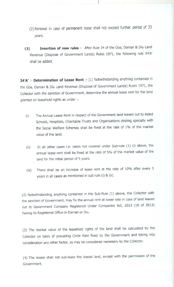- (2) Renewal in case of permanent lease shall not exceed further period of 33 years.
- **(3) Insertion of new rules** :- After Rule 34 of the Goa, Daman & Diu Land Revenue (Disposal of Government Lands) Rules 1971, the following rule 34'A' shall be added.

**34'A' :- Determination of Lease Rent** :- (1) Notwithstanding anything contained in the Goa, Daman & Diu Land Revenue (Disposal of Government Lands) Rules 1971, the Collector with the sanction of Government, determine the annual lease rent for the land granted on leasehold rights as under :-

- (i) The Annual Lease Rent in respect of the Government land leased out to Aided Schools, Hospitals, Charitable Trusts and Organizations dealing specially with the Social Welfare Schemes shall be fixed at the rate of 1% of the market value of the land.
- (ii) In all other cases i.e. cases not covered under Sub-rule (1) (i) above, the annual lease rent shall be fixed at the rate of 5% of the market value of the land for the initial period of 5 years.
- (iii) There shall be an increase of lease rent at the rate of 10% after every 5 years in all cases as mentioned in sub rule (i) & (ii).

(2) Notwithstanding anything contained in the Sub-Rule (1) above, the Collector with the sanction of Government, may fix the annual rent at lower rate in case of land leased out to Government Company Registered Under Companies Act, 2013 (18 of 2013) having its Registered Office in Daman or Diu.

(3) The market value of the leasehold rights of the land shall be calculated by the Collector on basis of prevailing Circle Rate fixed by the Government and taking into consideration any other factor, as may be considered necessary by the Collector.

(4) The **lessee shall not sub-lease the leased land, except with the permission of the** Government.